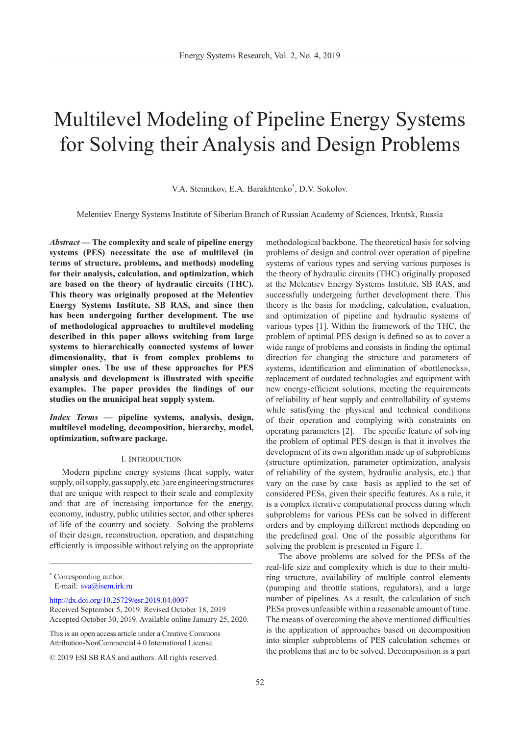# Multilevel Modeling of Pipeline Energy Systems for Solving their Analysis and Design Problems

V.A. Stennikov, E.A. Barakhtenko\* , D.V. Sokolov.

Melentiev Energy Systems Institute of Siberian Branch of Russian Academy of Sciences, Irkutsk, Russia

*Abstract* **— The complexity and scale of pipeline energy systems (PES) necessitate the use of multilevel (in terms of structure, problems, and methods) modeling for their analysis, calculation, and optimization, which are based on the theory of hydraulic circuits (THC). This theory was originally proposed at the Melentiev Energy Systems Institute, SB RAS, and since then has been undergoing further development. The use of methodological approaches to multilevel modeling described in this paper allows switching from large systems to hierarchically connected systems of lower dimensionality, that is from complex problems to simpler ones. The use of these approaches for PES analysis and development is illustrated with specific examples. The paper provides the findings of our studies on the municipal heat supply system.**

*Index Terms* **— pipeline systems, analysis, design, multilevel modeling, decomposition, hierarchy, model, optimization, software package.**

## I. Introduction

Modern pipeline energy systems (heat supply, water supply, oil supply, gas supply, etc.) are engineering structures that are unique with respect to their scale and complexity and that are of increasing importance for the energy, economy, industry, public utilities sector, and other spheres of life of the country and society. Solving the problems of their design, reconstruction, operation, and dispatching efficiently is impossible without relying on the appropriate

\_\_\_\_\_\_\_\_\_\_\_\_\_\_\_\_\_\_\_\_\_\_\_\_\_\_\_\_\_\_\_\_\_\_\_\_\_\_\_\_\_\_\_\_\_\_\_\_\_\_\_

[http://dx.doi.org/10.25729/esr.2019.04.000](http://dx.doi.org/10.25729/esr.2019.04.0007)7

This is an open access article under a Creative Commons Attribution-NonCommercial 4.0 International License.

methodological backbone. The theoretical basis for solving problems of design and control over operation of pipeline systems of various types and serving various purposes is the theory of hydraulic circuits (THC) originally proposed at the Melentiev Energy Systems Institute, SB RAS, and successfully undergoing further development there. This theory is the basis for modeling, calculation, evaluation, and optimization of pipeline and hydraulic systems of various types [1]. Within the framework of the THC, the problem of optimal PES design is defined so as to cover a wide range of problems and consists in finding the optimal direction for changing the structure and parameters of systems, identification and elimination of «bottlenecks», replacement of outdated technologies and equipment with new energy-efficient solutions, meeting the requirements of reliability of heat supply and controllability of systems while satisfying the physical and technical conditions of their operation and complying with constraints on operating parameters [2]. The specific feature of solving the problem of optimal PES design is that it involves the development of its own algorithm made up of subproblems (structure optimization, parameter optimization, analysis of reliability of the system, hydraulic analysis, etc.) that vary on the case by case basis as applied to the set of considered PESs, given their specific features. As a rule, it is a complex iterative computational process during which subproblems for various PESs can be solved in different orders and by employing different methods depending on the predefined goal. One of the possible algorithms for solving the problem is presented in Figure 1.

The above problems are solved for the PESs of the real-life size and complexity which is due to their multiring structure, availability of multiple control elements (pumping and throttle stations, regulators), and a large number of pipelines. As a result, the calculation of such PESs proves unfeasible within a reasonable amount of time. The means of overcoming the above mentioned difficulties is the application of approaches based on decomposition into simpler subproblems of PES calculation schemes or the problems that are to be solved. Decomposition is a part

<sup>\*</sup> Corresponding author. E-mail: [sva@isem.irk.ru](mailto:sva%40isem.irk.ru?subject=)

Received September 5, 2019. Revised October 18, 2019 Accepted October 30, 2019. Available online January 25, 2020.

<sup>© 2019</sup> ESI SB RAS and authors. All rights reserved.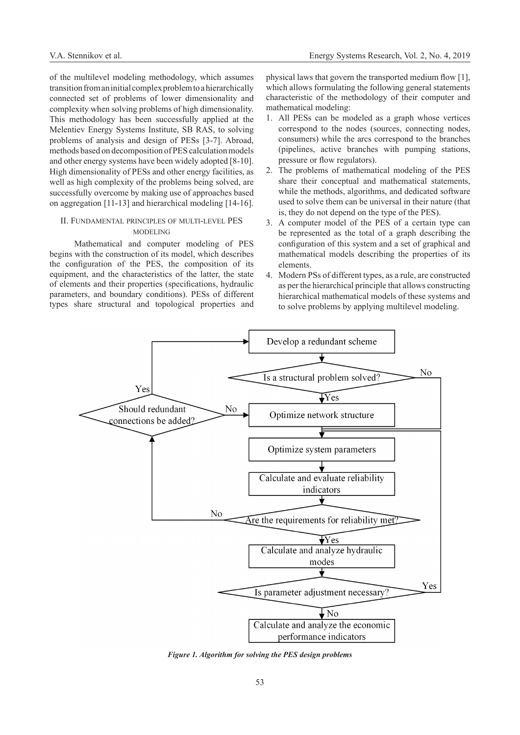of the multilevel modeling methodology, which assumes transition from an initial complex problem to a hierarchically connected set of problems of lower dimensionality and complexity when solving problems of high dimensionality. This methodology has been successfully applied at the Melentiev Energy Systems Institute, SB RAS, to solving problems of analysis and design of PESs [3-7]. Abroad, methods based on decomposition of PES calculation models and other energy systems have been widely adopted [8-10]. High dimensionality of PESs and other energy facilities, as well as high complexity of the problems being solved, are successfully overcome by making use of approaches based on aggregation [11-13] and hierarchical modeling [14-16].

## II. Fundamental principles of multi-level PES **MODELING**

Mathematical and computer modeling of PES begins with the construction of its model, which describes the configuration of the PES, the composition of its equipment, and the characteristics of the latter, the state of elements and their properties (specifications, hydraulic parameters, and boundary conditions). PESs of different types share structural and topological properties and

physical laws that govern the transported medium flow [1], which allows formulating the following general statements characteristic of the methodology of their computer and mathematical modeling:

- 1. All PESs can be modeled as a graph whose vertices correspond to the nodes (sources, connecting nodes, consumers) while the arcs correspond to the branches (pipelines, active branches with pumping stations, pressure or flow regulators).
- 2. The problems of mathematical modeling of the PES share their conceptual and mathematical statements, while the methods, algorithms, and dedicated software used to solve them can be universal in their nature (that is, they do not depend on the type of the PES).
- 3. A computer model of the PES of a certain type can be represented as the total of a graph describing the configuration of this system and a set of graphical and mathematical models describing the properties of its elements.
- 4. Modern PSs of different types, as a rule, are constructed as per the hierarchical principle that allows constructing hierarchical mathematical models of these systems and to solve problems by applying multilevel modeling.



*Figure 1. Algorithm for solving the PES design problems*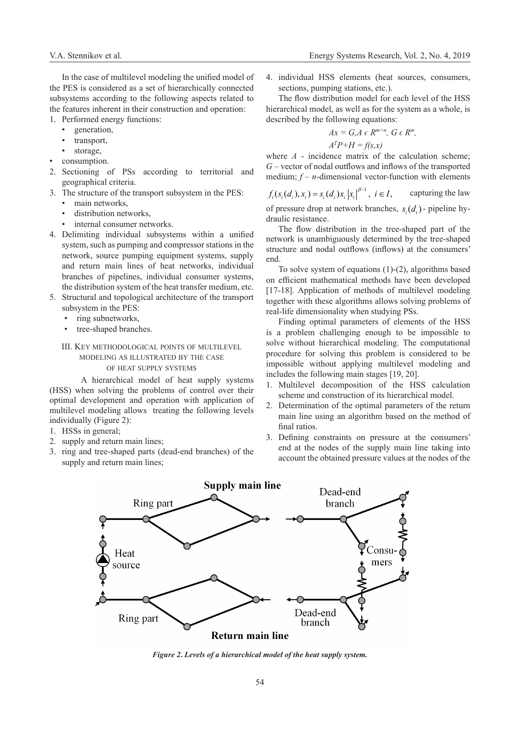In the case of multilevel modeling the unified model of the PES is considered as a set of hierarchically connected subsystems according to the following aspects related to the features inherent in their construction and operation:

- 1. Performed energy functions:
	- generation,
	- transport,
	- storage,
- consumption.
- 2. Sectioning of PSs according to territorial and geographical criteria.
- 3. The structure of the transport subsystem in the PES:
	- main networks,
	- distribution networks.
	- internal consumer networks.
- 4. Delimiting individual subsystems within a unified system, such as pumping and compressor stations in the network, source pumping equipment systems, supply and return main lines of heat networks, individual branches of pipelines, individual consumer systems, the distribution system of the heat transfer medium, etc.
- 5. Structural and topological architecture of the transport subsystem in the PES:
	- ring subnetworks,
	- tree-shaped branches.

## III. Key methodological points of multilevel modeling as illustrated by the case of heat supply systems

A hierarchical model of heat supply systems (HSS) when solving the problems of control over their optimal development and operation with application of multilevel modeling allows treating the following levels individually (Figure 2):

- 1. HSSs in general;
- 2. supply and return main lines;
- 3. ring and tree-shaped parts (dead-end branches) of the supply and return main lines;

4. individual HSS elements (heat sources, consumers, sections, pumping stations, etc.).

The flow distribution model for each level of the HSS hierarchical model, as well as for the system as a whole, is described by the following equations:

$$
Ax = G, A \in R^{m \times n}, \ G \in R^m,
$$
  

$$
A^T P + H = f(s, x)
$$

where *A* - incidence matrix of the calculation scheme; *G* – vector of nodal outflows and inflows of the transported medium;  $f - n$ -dimensional vector-function with elements

 $f_i(s_i(d_i), x_i) = s_i(d_i)x_i |x_i|^{\beta - 1}, i \in I$ , capturing the law of pressure drop at network branches,  $s_d(d)$  - pipeline hydraulic resistance.

The flow distribution in the tree-shaped part of the network is unambiguously determined by the tree-shaped structure and nodal outflows (inflows) at the consumers' end.

To solve system of equations (1)-(2), algorithms based on efficient mathematical methods have been developed [17-18]. Application of methods of multilevel modeling together with these algorithms allows solving problems of real-life dimensionality when studying PSs.

Finding optimal parameters of elements of the HSS is a problem challenging enough to be impossible to solve without hierarchical modeling. The computational procedure for solving this problem is considered to be impossible without applying multilevel modeling and includes the following main stages [19, 20].

- 1. Multilevel decomposition of the HSS calculation scheme and construction of its hierarchical model.
- 2. Determination of the optimal parameters of the return main line using an algorithm based on the method of final ratios.
- 3. Defining constraints on pressure at the consumers' end at the nodes of the supply main line taking into account the obtained pressure values at the nodes of the



*Figure 2***.** *Levels of a hierarchical model of the heat supply system.*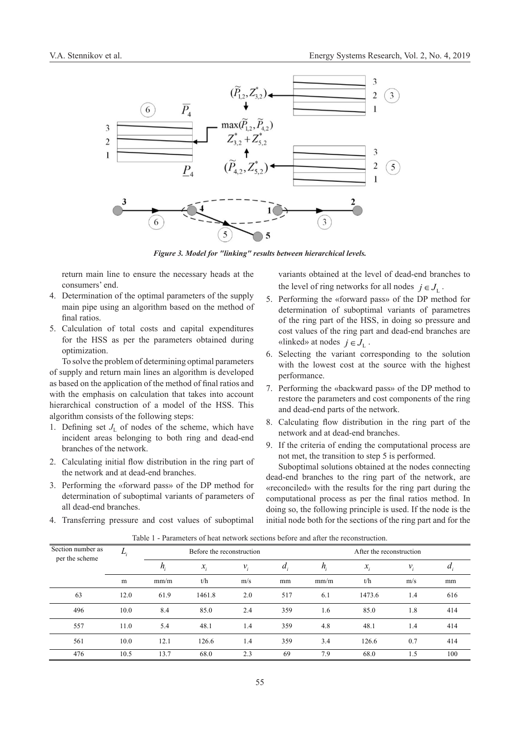

*Figure 3. Model for "linking" results between hierarchical levels.*

return main line to ensure the necessary heads at the consumers' end.

- 4. Determination of the optimal parameters of the supply main pipe using an algorithm based on the method of final ratios.
- 5. Calculation of total costs and capital expenditures for the HSS as per the parameters obtained during optimization.

To solve the problem of determining optimal parameters of supply and return main lines an algorithm is developed as based on the application of the method of final ratios and with the emphasis on calculation that takes into account hierarchical construction of a model of the HSS. This algorithm consists of the following steps:

- 1. Defining set  $J<sub>L</sub>$  of nodes of the scheme, which have incident areas belonging to both ring and dead-end branches of the network.
- 2. Calculating initial flow distribution in the ring part of the network and at dead-end branches.
- 3. Performing the «forward pass» of the DP method for determination of suboptimal variants of parameters of all dead-end branches.

4. Transferring pressure and cost values of suboptimal

variants obtained at the level of dead-end branches to the level of ring networks for all nodes  $j \in J_{i}$ .

- 5. Performing the «forward pass» of the DP method for determination of suboptimal variants of parametres of the ring part of the HSS, in doing so pressure and cost values of the ring part and dead-end branches are «linked» at nodes  $j \in J_{\mathbb{I}}$ .
- 6. Selecting the variant corresponding to the solution with the lowest cost at the source with the highest performance.
- 7. Performing the «backward pass» of the DP method to restore the parameters and cost components of the ring and dead-end parts of the network.
- 8. Calculating flow distribution in the ring part of the network and at dead-end branches.
- 9. If the criteria of ending the computational process are not met, the transition to step 5 is performed.

Suboptimal solutions obtained at the nodes connecting dead-end branches to the ring part of the network, are «reconciled» with the results for the ring part during the computational process as per the final ratios method. In doing so, the following principle is used. If the node is the initial node both for the sections of the ring part and for the

| Section number as |      | Before the reconstruction |                 |                 |         | After the reconstruction |                 |       |                  |
|-------------------|------|---------------------------|-----------------|-----------------|---------|--------------------------|-----------------|-------|------------------|
| per the scheme    |      | $h_i$                     | $\mathcal{X}_i$ | $\mathcal{V}_i$ | $a_{i}$ | $n_{\cdot}$              | $\mathcal{X}_i$ | $v_i$ | $\boldsymbol{u}$ |
|                   | m    | mm/m                      | t/h             | m/s             | mm      | mm/m                     | t/h             | m/s   | mm               |
| 63                | 12.0 | 61.9                      | 1461.8          | 2.0             | 517     | 6.1                      | 1473.6          | 1.4   | 616              |
| 496               | 10.0 | 8.4                       | 85.0            | 2.4             | 359     | 1.6                      | 85.0            | 1.8   | 414              |
| 557               | 11.0 | 5.4                       | 48.1            | 1.4             | 359     | 4.8                      | 48.1            | 1.4   | 414              |
| 561               | 10.0 | 12.1                      | 126.6           | 1.4             | 359     | 3.4                      | 126.6           | 0.7   | 414              |
| 476               | 10.5 | 13.7                      | 68.0            | 2.3             | 69      | 7.9                      | 68.0            | 1.5   | 100              |

Table 1 - Parameters of heat network sections before and after the reconstruction.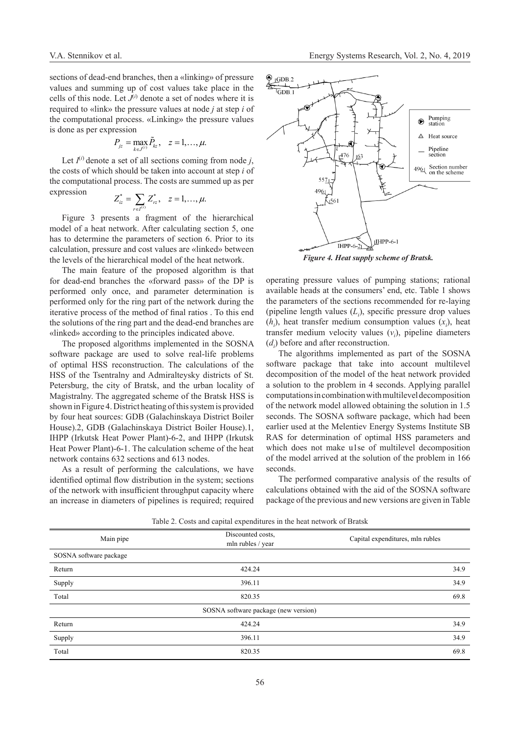sections of dead-end branches, then a «linking» of pressure values and summing up of cost values take place in the cells of this node. Let  $J^{(i)}$  denote a set of nodes where it is required to «link» the pressure values at node *j* at step *i* of the computational process. «Linking» the pressure values is done as per expression

$$
P_{jz} = \max_{k \in J^{(i)}} \tilde{P}_{kz}, \quad z = 1, \ldots, \mu.
$$

Let  $I^{(i)}$  denote a set of all sections coming from node *j*, the costs of which should be taken into account at step *i* of the computational process. The costs are summed up as per expression

$$
Z_{iz}^* = \sum_{r \in I^{(i)}} Z_{rz}^*, \quad z = 1, ..., \mu.
$$

Figure 3 presents a fragment of the hierarchical model of a heat network. After calculating section 5, one has to determine the parameters of section 6. Prior to its calculation, pressure and cost values are «linked» between the levels of the hierarchical model of the heat network.

The main feature of the proposed algorithm is that for dead-end branches the «forward pass» of the DP is performed only once, and parameter determination is performed only for the ring part of the network during the iterative process of the method of final ratios . To this end the solutions of the ring part and the dead-end branches are «linked» according to the principles indicated above.

The proposed algorithms implemented in the SOSNA software package are used to solve real-life problems of optimal HSS reconstruction. The calculations of the HSS of the Tsentralny and Admiralteysky districts of St. Petersburg, the city of Bratsk, and the urban locality of Magistralny. The aggregated scheme of the Bratsk HSS is shown in Figure 4. District heating of this system is provided by four heat sources: GDB (Galachinskaya District Boiler House).2, GDB (Galachinskaya District Boiler House).1, IHPP (Irkutsk Heat Power Plant)-6-2, and IHPP (Irkutsk Heat Power Plant)-6-1. The calculation scheme of the heat network contains 632 sections and 613 nodes.

As a result of performing the calculations, we have identified optimal flow distribution in the system; sections of the network with insufficient throughput capacity where an increase in diameters of pipelines is required; required



*Figure 4. Heat supply scheme of Bratsk.*

operating pressure values of pumping stations; rational available heads at the consumers' end, etc. Table 1 shows the parameters of the sections recommended for re-laying (pipeline length values  $(L<sub>i</sub>)$ , specific pressure drop values  $(h_i)$ , heat transfer medium consumption values  $(x_i)$ , heat transfer medium velocity values  $(v_i)$ , pipeline diameters  $(d_i)$  before and after reconstruction.

The algorithms implemented as part of the SOSNA software package that take into account multilevel decomposition of the model of the heat network provided a solution to the problem in 4 seconds. Applying parallel computations in combination with multilevel decomposition of the network model allowed obtaining the solution in 1.5 seconds. The SOSNA software package, which had been earlier used at the Melentiev Energy Systems Institute SB RAS for determination of optimal HSS parameters and which does not make u1se of multilevel decomposition of the model arrived at the solution of the problem in 166 seconds.

The performed comparative analysis of the results of calculations obtained with the aid of the SOSNA software package of the previous and new versions are given in Table

|                        | $\mathbf{1}$                         |                                  |  |
|------------------------|--------------------------------------|----------------------------------|--|
| Main pipe              | Discounted costs,                    | Capital expenditures, mln rubles |  |
|                        | mln rubles / year                    |                                  |  |
| SOSNA software package |                                      |                                  |  |
| Return                 | 424.24                               | 34.9                             |  |
| Supply                 | 396.11                               | 34.9                             |  |
| Total                  | 820.35                               | 69.8                             |  |
|                        | SOSNA software package (new version) |                                  |  |
| Return                 | 424.24                               | 34.9                             |  |
| Supply                 | 396.11                               | 34.9                             |  |
| Total                  | 820.35                               | 69.8                             |  |

Table 2. Costs and capital expenditures in the heat network of Bratsk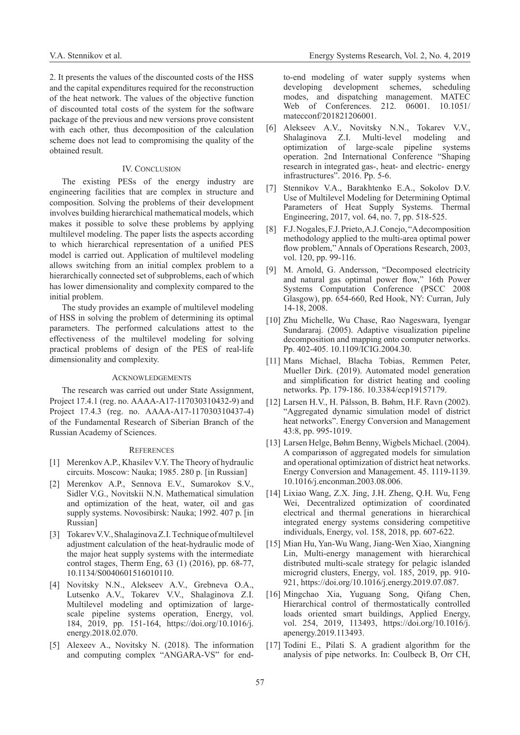2. It presents the values of the discounted costs of the HSS and the capital expenditures required for the reconstruction of the heat network. The values of the objective function of discounted total costs of the system for the software package of the previous and new versions prove consistent with each other, thus decomposition of the calculation scheme does not lead to compromising the quality of the obtained result.

## IV. CONCLUSION

The existing PESs of the energy industry are engineering facilities that are complex in structure and composition. Solving the problems of their development involves building hierarchical mathematical models, which makes it possible to solve these problems by applying multilevel modeling. The paper lists the aspects according to which hierarchical representation of a unified PES model is carried out. Application of multilevel modeling allows switching from an initial complex problem to a hierarchically connected set of subproblems, each of which has lower dimensionality and complexity compared to the initial problem.

The study provides an example of multilevel modeling of HSS in solving the problem of determining its optimal parameters. The performed calculations attest to the effectiveness of the multilevel modeling for solving practical problems of design of the PES of real-life dimensionality and complexity.

## **ACKNOWLEDGEMENTS**

The research was carried out under State Assignment, Project 17.4.1 (reg. no. АААА-А17-117030310432-9) and Project 17.4.3 (reg. no. АААА-А17-117030310437-4) of the Fundamental Research of Siberian Branch of the Russian Academy of Sciences.

#### **REFERENCES**

- [1] Merenkov A.P., Khasilev V.Y. The Theory of hydraulic circuits. Moscow: Nauka; 1985. 280 p. [in Russian]
- [2] Merenkov A.P., Sennova E.V., Sumarokov S.V., Sidler V.G., Novitskii N.N. Mathematical simulation and optimization of the heat, water, oil and gas supply systems. Novosibirsk: Nauka; 1992. 407 p. [in Russian]
- [3] Tokarev V.V., Shalaginova Z.I. Technique of multilevel adjustment calculation of the heat-hydraulic mode of the major heat supply systems with the intermediate control stages, Therm Eng, 63 (1) (2016), pp. 68-77, 10.1134/S0040601516010110.
- [4] Novitsky N.N., Alekseev A.V., Grebneva O.A., Lutsenko A.V., Tokarev V.V., Shalaginova Z.I. Multilevel modeling and optimization of largescale pipeline systems operation, Energy, vol. 184, 2019, pp. 151-164, https://doi.org/10.1016/j. energy.2018.02.070.
- [5] Alexeev A., Novitsky N. (2018). The information and computing complex "ANGARA-VS" for end-

to-end modeling of water supply systems when developing development schemes, scheduling modes, and dispatching management. MATEC Web of Conferences. 212. 06001. 10.1051/ matecconf/201821206001.

- [6] Alekseev A.V., Novitsky N.N., Tokarev V.V., Shalaginova Z.I. Multi-level modeling and optimization of large-scale pipeline systems operation. 2nd International Conference "Shaping research in integrated gas-, heat- and electric- energy infrastructures". 2016. Pp. 5-6.
- [7] Stennikov V.A., Barakhtenko E.A., Sokolov D.V. Use of Multilevel Modeling for Determining Optimal Parameters of Heat Supply Systems. Thermal Engineering, 2017, vol. 64, no. 7, pp. 518-525.
- [8] F.J. Nogales, F.J. Prieto, A.J. Conejo, "A decomposition methodology applied to the multi-area optimal power flow problem," Annals of Operations Research, 2003, vol. 120, pp. 99-116.
- [9] M. Arnold, G. Andersson, "Decomposed electricity and natural gas optimal power flow," 16th Power Systems Computation Conference (PSCC 2008 Glasgow), pp. 654-660, Red Hook, NY: Curran, July 14-18, 2008.
- [10] Zhu Michelle, Wu Chase, Rao Nageswara, Iyengar Sundararaj. (2005). Adaptive visualization pipeline decomposition and mapping onto computer networks. Pp. 402-405. 10.1109/ICIG.2004.30.
- [11] Mans Michael, Blacha Tobias, Remmen Peter, Mueller Dirk. (2019). Automated model generation and simplification for district heating and cooling networks. Pp. 179-186. 10.3384/ecp19157179.
- [12] Larsen H.V., H. Pálsson, B. Bøhm, H.F. Ravn (2002). "Aggregated dynamic simulation model of district heat networks". Energy Conversion and Management 43:8, pp. 995-1019.
- [13] Larsen Helge, Bøhm Benny, Wigbels Michael. (2004). A compariяson of aggregated models for simulation and operational optimization of district heat networks. Energy Conversion and Management. 45. 1119-1139. 10.1016/j.enconman.2003.08.006.
- [14] Lixiao Wang, Z.X. Jing, J.H. Zheng, Q.H. Wu, Feng Wei, Decentralized optimization of coordinated electrical and thermal generations in hierarchical integrated energy systems considering competitive individuals, Energy, vol. 158, 2018, pp. 607-622.
- [15] Mian Hu, Yan-Wu Wang, Jiang-Wen Xiao, Xiangning Lin, Multi-energy management with hierarchical distributed multi-scale strategy for pelagic islanded microgrid clusters, Energy, vol. 185, 2019, pp. 910- 921, https://doi.org/10.1016/j.energy.2019.07.087.
- [16] Mingchao Xia, Yuguang Song, Qifang Chen, Hierarchical control of thermostatically controlled loads oriented smart buildings, Applied Energy, vol. 254, 2019, 113493, https://doi.org/10.1016/j. apenergy.2019.113493.
- [17] Todini E., Pilati S. A gradient algorithm for the analysis of pipe networks. In: Coulbeck B, Orr CH,